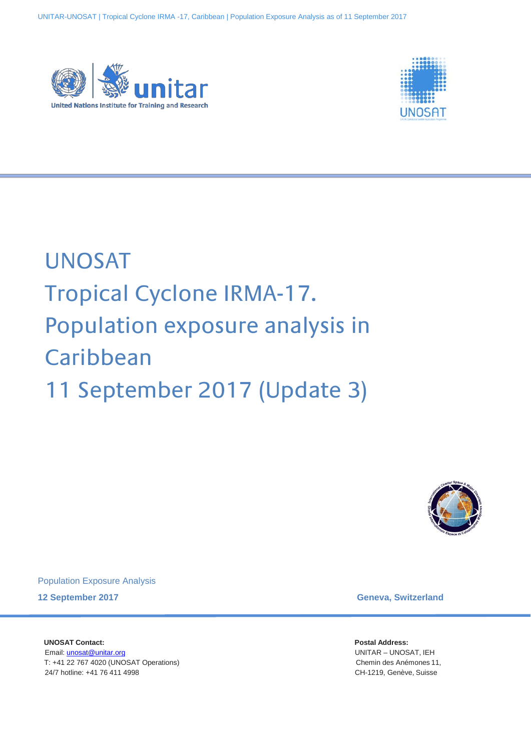



# UNOSAT Tropical Cyclone IRMA-17. Population exposure analysis in **Caribbean** 11 September 2017 (Update 3)



Population Exposure Analysis **12 September 2017 Geneva, Switzerland**

 **UNOSAT Contact: Postal Address:** Email: [unosat@unitar.org](mailto:unosat@unitar.org) UNITAR – UNOSAT, IEH T: +41 22 767 4020 (UNOSAT Operations) Chemin des Anémones 11, 24/7 hotline: +41 76 411 4998 CH-1219, Genève, Suisse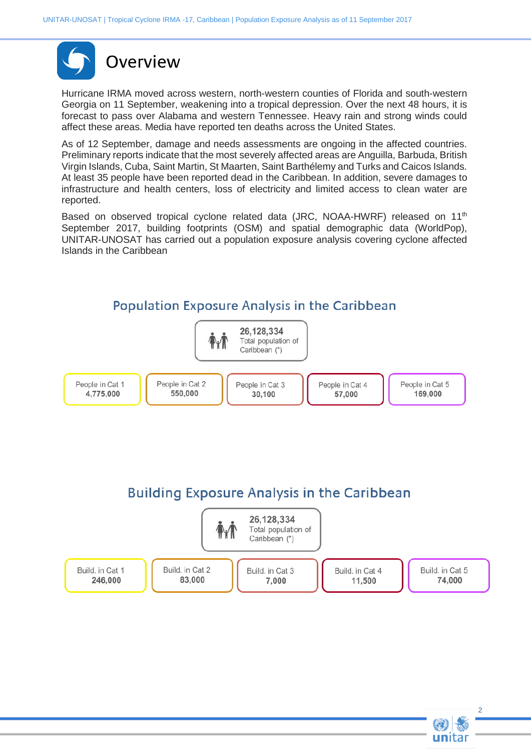

Hurricane IRMA moved across western, north-western counties of Florida and south-western Georgia on 11 September, weakening into a tropical depression. Over the next 48 hours, it is forecast to pass over Alabama and western Tennessee. Heavy rain and strong winds could affect these areas. Media have reported ten deaths across the United States.

As of 12 September, damage and needs assessments are ongoing in the affected countries. Preliminary reports indicate that the most severely affected areas are Anguilla, Barbuda, British Virgin Islands, Cuba, Saint Martin, St Maarten, Saint Barthélemy and Turks and Caicos Islands. At least 35 people have been reported dead in the Caribbean. In addition, severe damages to infrastructure and health centers, loss of electricity and limited access to clean water are reported.

Based on observed tropical cyclone related data (JRC, NOAA-HWRF) released on 11<sup>th</sup> September 2017, building footprints (OSM) and spatial demographic data (WorldPop), UNITAR-UNOSAT has carried out a population exposure analysis covering cyclone affected Islands in the Caribbean



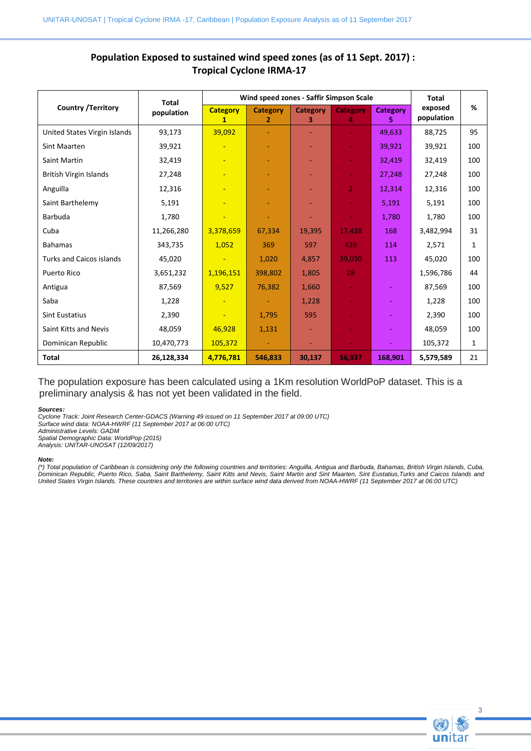# **Population Exposed to sustained wind speed zones (as of 11 Sept. 2017) : Tropical Cyclone IRMA-17**

| <b>Country /Territory</b>       | <b>Total</b><br>population | Wind speed zones - Saffir Simpson Scale |                                   |                       |                      |                | <b>Total</b>          |              |
|---------------------------------|----------------------------|-----------------------------------------|-----------------------------------|-----------------------|----------------------|----------------|-----------------------|--------------|
|                                 |                            | <b>Category</b><br>$\mathbf{1}$         | <b>Category</b><br>$\overline{2}$ | <b>Category</b><br>3. | <b>Category</b><br>4 | Category<br>5  | exposed<br>population | %            |
| United States Virgin Islands    | 93,173                     | 39,092                                  |                                   |                       |                      | 49.633         | 88,725                | 95           |
| Sint Maarten                    | 39,921                     | $\blacksquare$                          |                                   |                       |                      | 39,921         | 39,921                | 100          |
| <b>Saint Martin</b>             | 32,419                     | $\blacksquare$                          |                                   |                       |                      | 32,419         | 32,419                | 100          |
| <b>British Virgin Islands</b>   | 27,248                     | ÷                                       |                                   |                       |                      | 27,248         | 27,248                | 100          |
| Anguilla                        | 12,316                     | $\blacksquare$                          |                                   |                       | $\overline{2}$       | 12,314         | 12,316                | 100          |
| Saint Barthelemy                | 5,191                      | ÷                                       |                                   |                       |                      | 5,191          | 5,191                 | 100          |
| Barbuda                         | 1,780                      | ÷                                       |                                   |                       |                      | 1,780          | 1,780                 | 100          |
| Cuba                            | 11,266,280                 | 3,378,659                               | 67,334                            | 19,395                | 17,438               | 168            | 3,482,994             | 31           |
| <b>Bahamas</b>                  | 343,735                    | 1,052                                   | 369                               | 597                   | 439                  | 114            | 2,571                 | $\mathbf{1}$ |
| <b>Turks and Caicos islands</b> | 45,020                     | $\blacksquare$                          | 1,020                             | 4,857                 | 39,030               | 113            | 45,020                | 100          |
| Puerto Rico                     | 3,651,232                  | 1,196,151                               | 398,802                           | 1,805                 | 28                   |                | 1,596,786             | 44           |
| Antigua                         | 87,569                     | 9,527                                   | 76,382                            | 1,660                 | $\blacksquare$       |                | 87,569                | 100          |
| Saba                            | 1,228                      | $\blacksquare$                          |                                   | 1,228                 |                      |                | 1,228                 | 100          |
| <b>Sint Eustatius</b>           | 2,390                      | ÷.                                      | 1,795                             | 595                   |                      |                | 2,390                 | 100          |
| Saint Kitts and Nevis           | 48,059                     | 46,928                                  | 1,131                             | ٠                     |                      |                | 48,059                | 100          |
| Dominican Republic              | 10,470,773                 | 105,372                                 |                                   |                       |                      | $\blacksquare$ | 105,372               | $\mathbf{1}$ |
| <b>Total</b>                    | 26,128,334                 | 4,776,781                               | 546,833                           | 30,137                | 56,937               | 168,901        | 5,579,589             | 21           |

The population exposure has been calculated using a 1Km resolution WorldPoP dataset. This is a preliminary analysis & has not yet been validated in the field.

*Sources:* 

*Cyclone Track: Joint Research Center-GDACS (Warning 49 issued on 11 September 2017 at 09:00 UTC)*

*Surface wind data: NOAA-HWRF (11 September 2017 at 06:00 UTC)*

*Administrative Levels: GADM*

*Spatial Demographic Data: WorldPop (2015)*

*Analysis: UNITAR-UNOSAT (12/09/2017)*

### *Note:*

*(\*) Total population of Caribbean is considering only the following countries and territories: Anguilla, Antigua and Barbuda, Bahamas, British Virgin Islands, Cuba, Dominican Republic, Puerto Rico, Saba, Saint Barthelemy, Saint Kitts and Nevis, Saint Martin and Sint Maarten, Sint Eustatius,Turks and Caicos Islands and United States Virgin Islands. These countries and territories are within surface wind data derived from NOAA-HWRF (11 September 2017 at 06:00 UTC)*

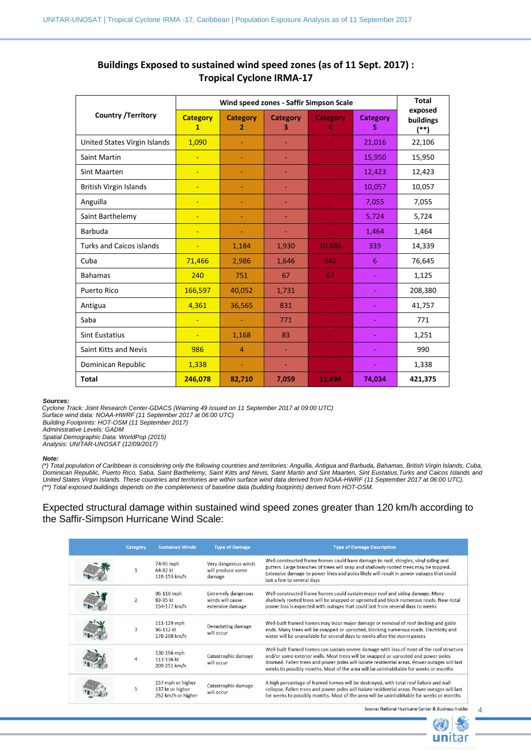|                                 | Wind speed zones - Saffir Simpson Scale | Total                    |                      |                      |                       |                              |  |
|---------------------------------|-----------------------------------------|--------------------------|----------------------|----------------------|-----------------------|------------------------------|--|
| <b>Country /Territory</b>       | <b>Category</b><br>1                    | <b>Category</b><br>2     | <b>Category</b><br>з | <b>Category</b><br>4 | <b>Category</b><br>5. | exposed<br>buildings<br>(**) |  |
| United States Virgin Islands    | 1,090                                   |                          |                      |                      | 21,016                | 22,106                       |  |
| <b>Saint Martin</b>             | Ξ                                       |                          |                      |                      | 15,950                | 15,950                       |  |
| Sint Maarten                    | ٠                                       |                          |                      |                      | 12,423                | 12,423                       |  |
| <b>British Virgin Islands</b>   | Ξ                                       |                          |                      |                      | 10,057                | 10,057                       |  |
| Anguilla                        |                                         |                          |                      |                      | 7,055                 | 7,055                        |  |
| Saint Barthelemy                | Ξ                                       | ÷                        |                      |                      | 5,724                 | 5,724                        |  |
| Barbuda                         | Ξ                                       |                          |                      |                      | 1,464                 | 1,464                        |  |
| <b>Turks and Caicos islands</b> | Ξ                                       | 1,184                    | 1,930                | 10,886               | 339                   | 14,339                       |  |
| Cuba                            | 71,466                                  | 2,986                    | 1,646                | 541                  | 6                     | 76,645                       |  |
| <b>Bahamas</b>                  | 240                                     | 751                      | 67                   | 67                   | Ξ                     | 1,125                        |  |
| Puerto Rico                     | 166,597                                 | 40,052                   | 1,731                |                      |                       | 208,380                      |  |
| Antigua                         | 4,361                                   | 36,565                   | 831                  |                      |                       | 41,757                       |  |
| Saba                            | Ξ                                       |                          | 771                  | $\blacksquare$       |                       | 771                          |  |
| <b>Sint Eustatius</b>           |                                         | 1,168                    | 83                   |                      |                       | 1,251                        |  |
| Saint Kitts and Nevis           | 986                                     | $\overline{4}$           |                      |                      |                       | 990                          |  |
| Dominican Republic              | 1,338                                   | $\overline{\phantom{a}}$ |                      |                      |                       | 1,338                        |  |
| <b>Total</b>                    | 246,078                                 | 82,710                   | 7,059                | 11,494               | 74,034                | 421,375                      |  |

## **Buildings Exposed to sustained wind speed zones (as of 11 Sept. 2017) : Tropical Cyclone IRMA-17**

#### *Sources:*

*Cyclone Track: Joint Research Center-GDACS (Warning 49 issued on 11 September 2017 at 09:00 UTC)*

*Surface wind data: NOAA-HWRF (11 September 2017 at 06:00 UTC)*

*Building Footprints: HOT-OSM (11 September 2017)*

*Administrative Levels: GADM*

*Spatial Demographic Data: WorldPop (2015)*

*Analysis: UNITAR-UNOSAT (12/09/2017)*

#### *Note:*

*(\*) Total population of Caribbean is considering only the following countries and territories: Anguilla, Antigua and Barbuda, Bahamas, British Virgin Islands, Cuba, Dominican Republic, Puerto Rico, Saba, Saint Barthelemy, Saint Kitts and Nevis, Saint Martin and Sint Maarten, Sint Eustatius,Turks and Caicos Islands and United States Virgin Islands. These countries and territories are within surface wind data derived from NOAA-HWRF (11 September 2017 at 06:00 UTC). (\*\*) Total exposed buildings depends on the completeness of baseline data (building footprints) derived from HOT-OSM.*

Expected structural damage within sustained wind speed zones greater than 120 km/h according to the Saffir-Simpson Hurricane Wind Scale:

| Category       | <b>Sustained Winds</b>                                      | <b>Type of Damage</b>                                               | <b>Type of Damage Description</b>                                                                                                                                                                                                                                                                                                                                       |
|----------------|-------------------------------------------------------------|---------------------------------------------------------------------|-------------------------------------------------------------------------------------------------------------------------------------------------------------------------------------------------------------------------------------------------------------------------------------------------------------------------------------------------------------------------|
|                | 74-95 mph<br>64-82 kt<br>119-153 km/h                       | Very dangerous winds<br>will produce some<br>damage                 | Well-constructed frame homes could have damage to roof, shingles, vinyl siding and<br>gutters. Large branches of trees will snap and shallowly rooted trees may be toppled.<br>Extensive damage to power lines and poles likely will result in power outages that could<br>last a few to several days                                                                   |
| $\overline{2}$ | 96-110 mph<br>83-95 kt<br>154-177 km/h                      | <b>Extremely dangerous</b><br>winds will cause.<br>extensive damage | Well-constructed frame homes could sustain major roof and siding damage. Many<br>shallowly rooted trees will be snapped or uprooted and block numerous roads. Near-total<br>power loss is expected with outages that could last from several days to weeks                                                                                                              |
| 3              | 111-129 mph<br>96-112 kt<br>178-208 km/h                    | Devastating damage<br>will occur                                    | Well-built framed homes may incur major damage or removal of roof decking and gable<br>ends. Many trees will be snapped or uprooted, blocking numerous roads. Electricity and<br>water will be unavailable for several days to weeks after the storm passes                                                                                                             |
|                | 130-156 mph<br>113-136 kt<br>209-251 km/h                   | Catastrophic damage<br>will occur                                   | Well-built framed homes can sustain severe damage with loss of most of the roof structure<br>and/or some exterior walls. Most trees will be snapped or uprooted and power poles<br>downed. Fallen trees and power poles will isolate residential areas. Power outages will last<br>weeks to possibly months. Most of the area will be uninhabitable for weeks or months |
| 5              | 157 mph or higher<br>137 kt or higher<br>252 km/h or higher | Catastrophic damage<br>will occur                                   | A high percentage of framed homes will be destroyed, with total roof failure and wall<br>collapse. Fallen trees and power poles will isolate residential areas. Power outages will last<br>for weeks to possibly months. Most of the area will be uninhabitable for weeks or months                                                                                     |

Source: National Hurricane Center & Business Insider



4